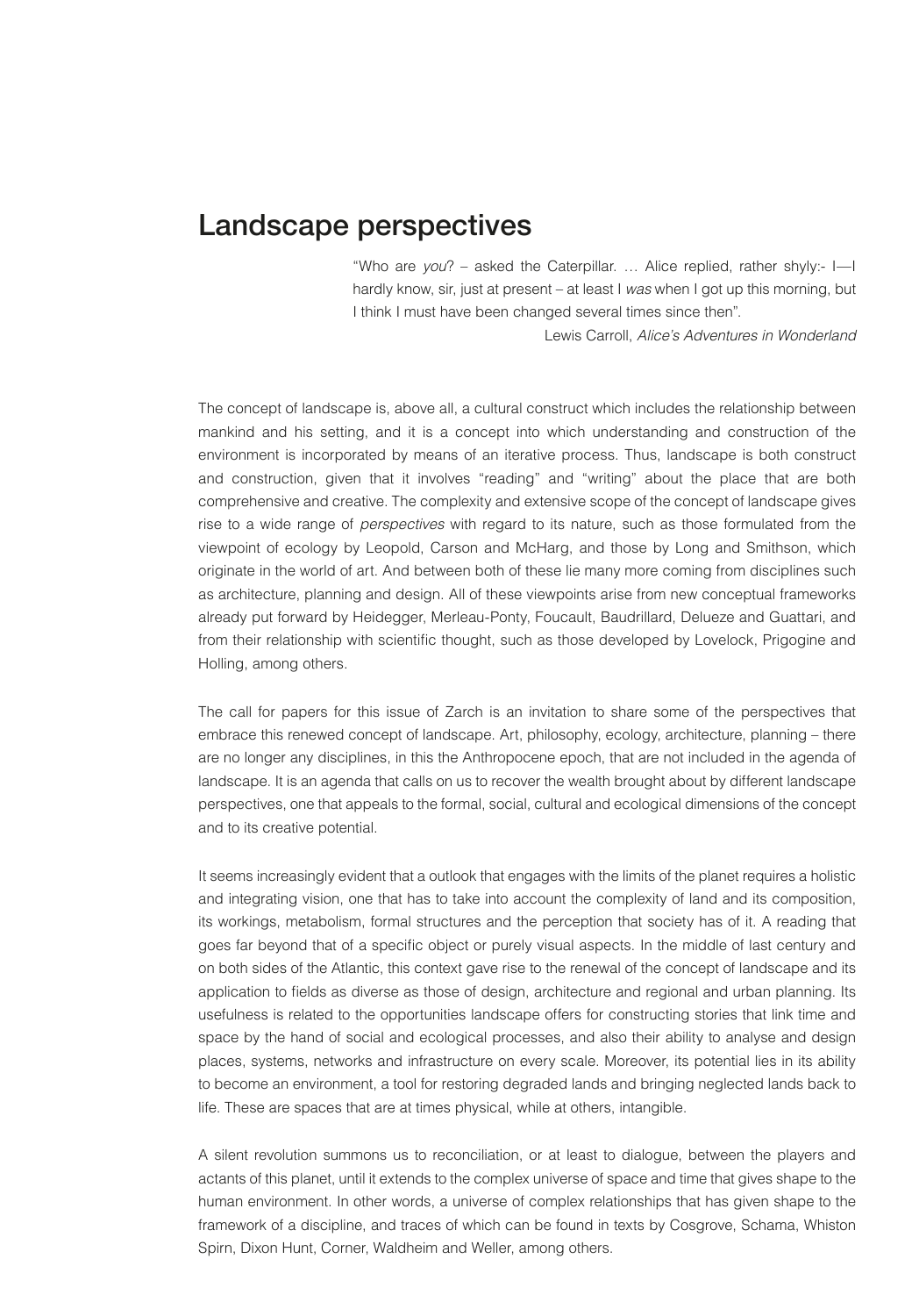## Landscape perspectives

"Who are *you*? – asked the Caterpillar. … Alice replied, rather shyly:- I—I hardly know, sir, just at present – at least I *was* when I got up this morning, but I think I must have been changed several times since then".

Lewis Carroll, *Alice's Adventures in Wonderland*

The concept of landscape is, above all, a cultural construct which includes the relationship between mankind and his setting, and it is a concept into which understanding and construction of the environment is incorporated by means of an iterative process. Thus, landscape is both construct and construction, given that it involves "reading" and "writing" about the place that are both comprehensive and creative. The complexity and extensive scope of the concept of landscape gives rise to a wide range of *perspectives* with regard to its nature, such as those formulated from the viewpoint of ecology by Leopold, Carson and McHarg, and those by Long and Smithson, which originate in the world of art. And between both of these lie many more coming from disciplines such as architecture, planning and design. All of these viewpoints arise from new conceptual frameworks already put forward by Heidegger, Merleau-Ponty, Foucault, Baudrillard, Delueze and Guattari, and from their relationship with scientific thought, such as those developed by Lovelock, Prigogine and Holling, among others.

The call for papers for this issue of Zarch is an invitation to share some of the perspectives that embrace this renewed concept of landscape. Art, philosophy, ecology, architecture, planning – there are no longer any disciplines, in this the Anthropocene epoch, that are not included in the agenda of landscape. It is an agenda that calls on us to recover the wealth brought about by different landscape perspectives, one that appeals to the formal, social, cultural and ecological dimensions of the concept and to its creative potential.

It seems increasingly evident that a outlook that engages with the limits of the planet requires a holistic and integrating vision, one that has to take into account the complexity of land and its composition, its workings, metabolism, formal structures and the perception that society has of it. A reading that goes far beyond that of a specific object or purely visual aspects. In the middle of last century and on both sides of the Atlantic, this context gave rise to the renewal of the concept of landscape and its application to fields as diverse as those of design, architecture and regional and urban planning. Its usefulness is related to the opportunities landscape offers for constructing stories that link time and space by the hand of social and ecological processes, and also their ability to analyse and design places, systems, networks and infrastructure on every scale. Moreover, its potential lies in its ability to become an environment, a tool for restoring degraded lands and bringing neglected lands back to life. These are spaces that are at times physical, while at others, intangible.

A silent revolution summons us to reconciliation, or at least to dialogue, between the players and actants of this planet, until it extends to the complex universe of space and time that gives shape to the human environment. In other words, a universe of complex relationships that has given shape to the framework of a discipline, and traces of which can be found in texts by Cosgrove, Schama, Whiston Spirn, Dixon Hunt, Corner, Waldheim and Weller, among others.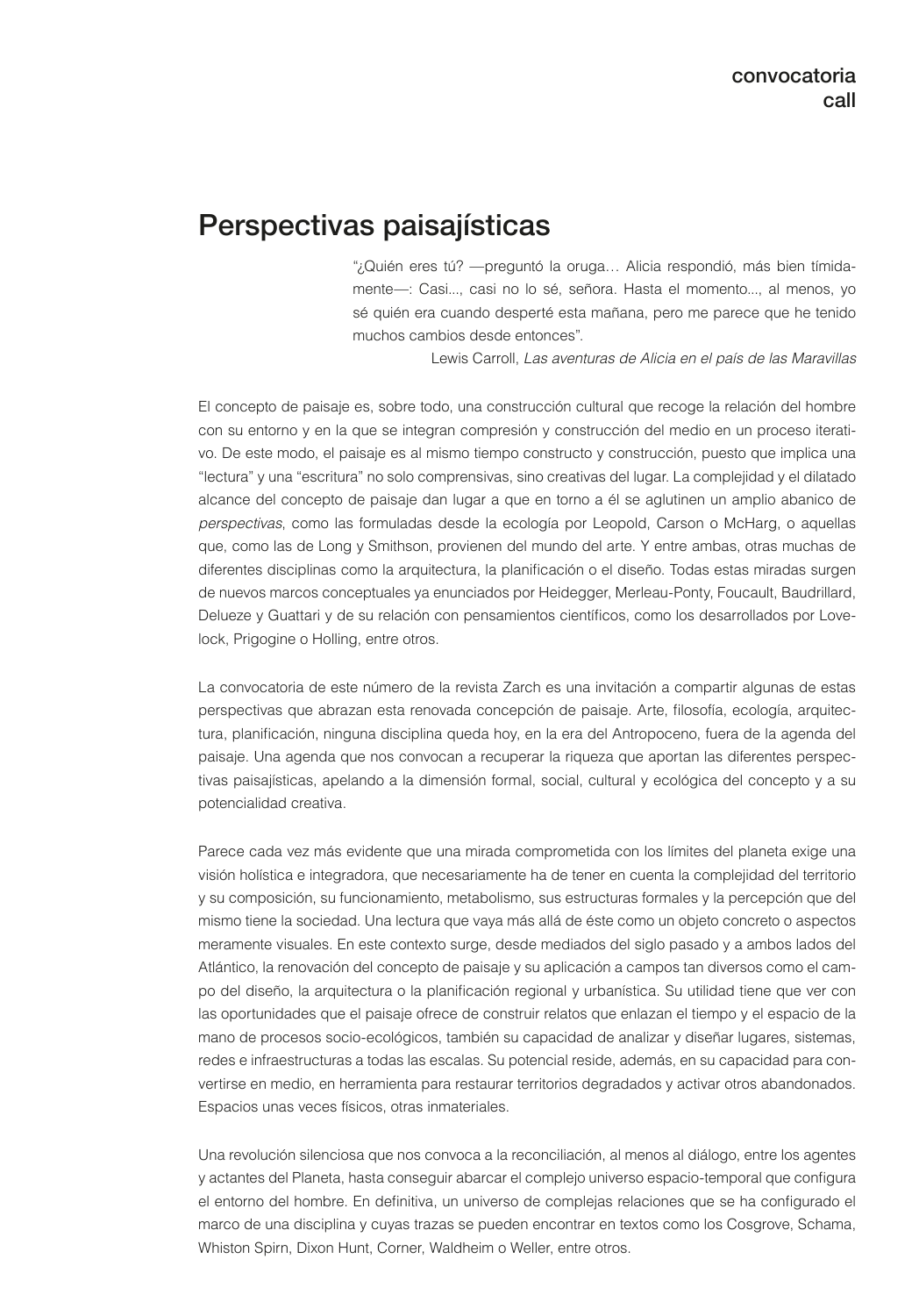## Perspectivas paisajísticas

"¿Quién eres tú? —preguntó la oruga… Alicia respondió, más bien tímidamente—: Casi..., casi no lo sé, señora. Hasta el momento..., al menos, yo sé quién era cuando desperté esta mañana, pero me parece que he tenido muchos cambios desde entonces".

Lewis Carroll, *Las aventuras de Alicia en el país de las Maravillas*

El concepto de paisaje es, sobre todo, una construcción cultural que recoge la relación del hombre con su entorno y en la que se integran compresión y construcción del medio en un proceso iterativo. De este modo, el paisaje es al mismo tiempo constructo y construcción, puesto que implica una "lectura" y una "escritura" no solo comprensivas, sino creativas del lugar. La complejidad y el dilatado alcance del concepto de paisaje dan lugar a que en torno a él se aglutinen un amplio abanico de *perspectivas*, como las formuladas desde la ecología por Leopold, Carson o McHarg, o aquellas que, como las de Long y Smithson, provienen del mundo del arte. Y entre ambas, otras muchas de diferentes disciplinas como la arquitectura, la planificación o el diseño. Todas estas miradas surgen de nuevos marcos conceptuales ya enunciados por Heidegger, Merleau-Ponty, Foucault, Baudrillard, Delueze y Guattari y de su relación con pensamientos científicos, como los desarrollados por Lovelock, Prigogine o Holling, entre otros.

La convocatoria de este número de la revista Zarch es una invitación a compartir algunas de estas perspectivas que abrazan esta renovada concepción de paisaje. Arte, filosofía, ecología, arquitectura, planificación, ninguna disciplina queda hoy, en la era del Antropoceno, fuera de la agenda del paisaje. Una agenda que nos convocan a recuperar la riqueza que aportan las diferentes perspectivas paisajísticas, apelando a la dimensión formal, social, cultural y ecológica del concepto y a su potencialidad creativa.

Parece cada vez más evidente que una mirada comprometida con los límites del planeta exige una visión holística e integradora, que necesariamente ha de tener en cuenta la complejidad del territorio y su composición, su funcionamiento, metabolismo, sus estructuras formales y la percepción que del mismo tiene la sociedad. Una lectura que vaya más allá de éste como un objeto concreto o aspectos meramente visuales. En este contexto surge, desde mediados del siglo pasado y a ambos lados del Atlántico, la renovación del concepto de paisaje y su aplicación a campos tan diversos como el campo del diseño, la arquitectura o la planificación regional y urbanística. Su utilidad tiene que ver con las oportunidades que el paisaje ofrece de construir relatos que enlazan el tiempo y el espacio de la mano de procesos socio-ecológicos, también su capacidad de analizar y diseñar lugares, sistemas, redes e infraestructuras a todas las escalas. Su potencial reside, además, en su capacidad para convertirse en medio, en herramienta para restaurar territorios degradados y activar otros abandonados. Espacios unas veces físicos, otras inmateriales.

Una revolución silenciosa que nos convoca a la reconciliación, al menos al diálogo, entre los agentes y actantes del Planeta, hasta conseguir abarcar el complejo universo espacio-temporal que configura el entorno del hombre. En definitiva, un universo de complejas relaciones que se ha configurado el marco de una disciplina y cuyas trazas se pueden encontrar en textos como los Cosgrove, Schama, Whiston Spirn, Dixon Hunt, Corner, Waldheim o Weller, entre otros.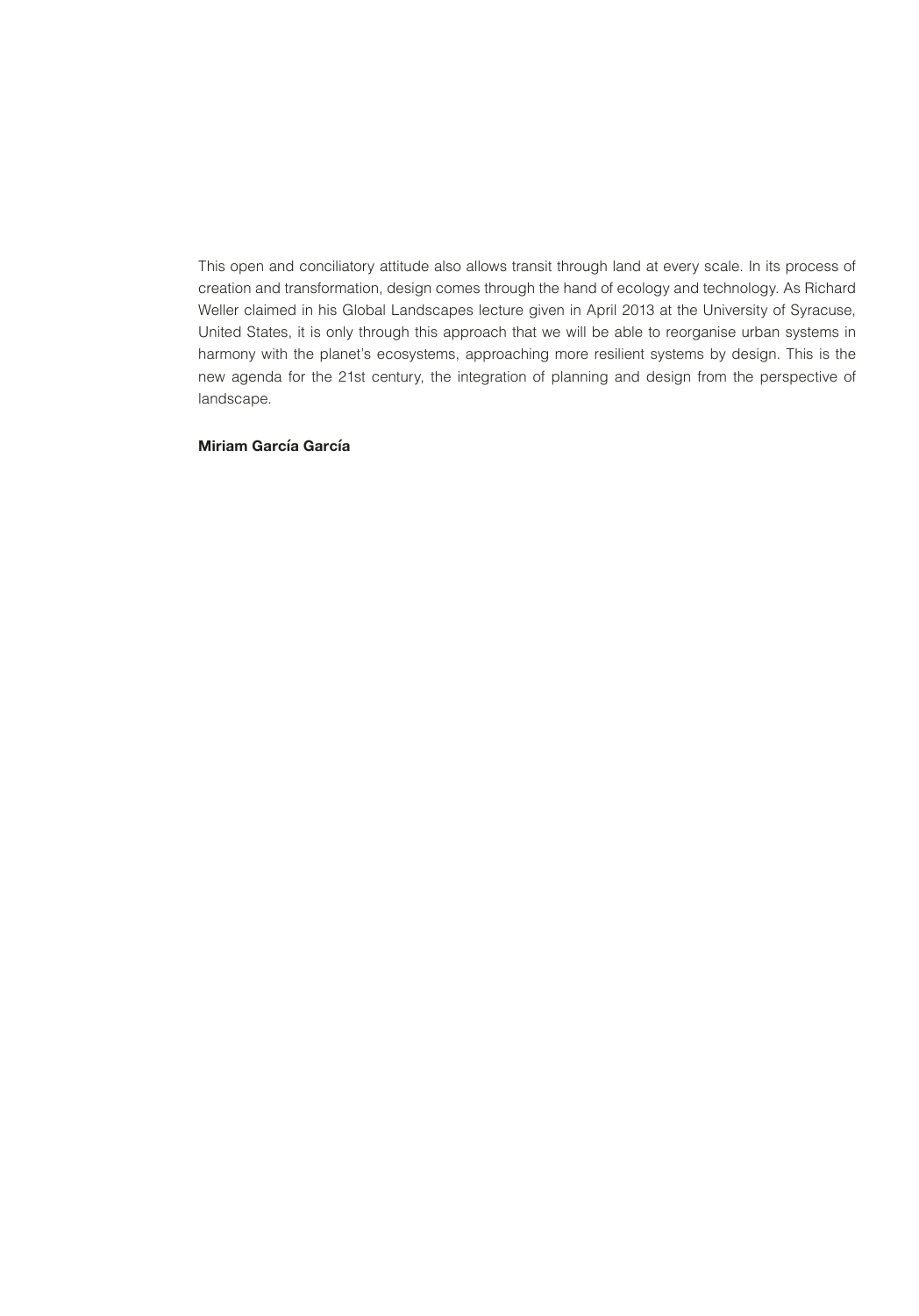This open and conciliatory attitude also allows transit through land at every scale. In its process of creation and transformation, design comes through the hand of ecology and technology. As Richard Weller claimed in his Global Landscapes lecture given in April 2013 at the University of Syracuse, United States, it is only through this approach that we will be able to reorganise urban systems in harmony with the planet's ecosystems, approaching more resilient systems by design. This is the new agenda for the 21st century, the integration of planning and design from the perspective of landscape.

## **Miriam García García**